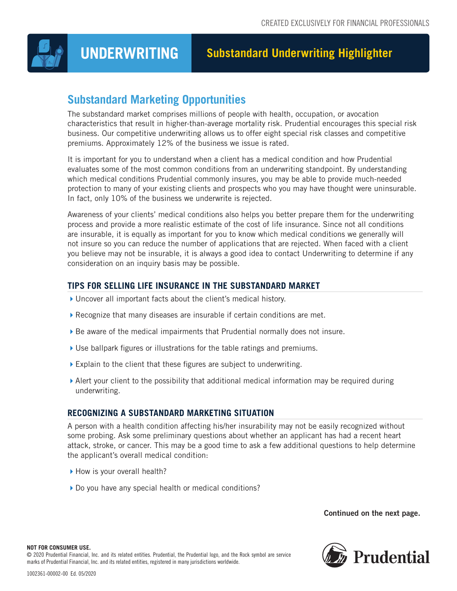

# **UNDERWRITING Substandard Underwriting Highlighter**

# **Substandard Marketing Opportunities**

The substandard market comprises millions of people with health, occupation, or avocation characteristics that result in higher-than-average mortality risk. Prudential encourages this special risk business. Our competitive underwriting allows us to offer eight special risk classes and competitive premiums. Approximately 12% of the business we issue is rated.

It is important for you to understand when a client has a medical condition and how Prudential evaluates some of the most common conditions from an underwriting standpoint. By understanding which medical conditions Prudential commonly insures, you may be able to provide much-needed protection to many of your existing clients and prospects who you may have thought were uninsurable. In fact, only 10% of the business we underwrite is rejected.

Awareness of your clients' medical conditions also helps you better prepare them for the underwriting process and provide a more realistic estimate of the cost of life insurance. Since not all conditions are insurable, it is equally as important for you to know which medical conditions we generally will not insure so you can reduce the number of applications that are rejected. When faced with a client you believe may not be insurable, it is always a good idea to contact Underwriting to determine if any consideration on an inquiry basis may be possible.

# **TIPS FOR SELLING LIFE INSURANCE IN THE SUBSTANDARD MARKET**

- Uncover all important facts about the client's medical history.
- Recognize that many diseases are insurable if certain conditions are met.
- Be aware of the medical impairments that Prudential normally does not insure.
- Use ballpark figures or illustrations for the table ratings and premiums.
- Explain to the client that these figures are subject to underwriting.
- Alert your client to the possibility that additional medical information may be required during underwriting.

# **RECOGNIZING A SUBSTANDARD MARKETING SITUATION**

A person with a health condition affecting his/her insurability may not be easily recognized without some probing. Ask some preliminary questions about whether an applicant has had a recent heart attack, stroke, or cancer. This may be a good time to ask a few additional questions to help determine the applicant's overall medical condition:

- How is your overall health?
- Do you have any special health or medical conditions?

# Continued on the next page.

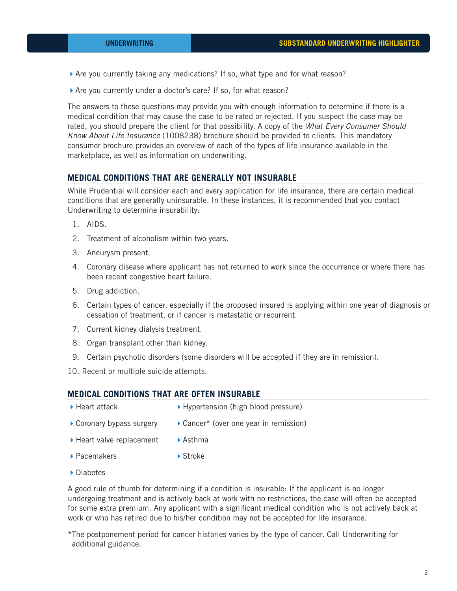- Are you currently taking any medications? If so, what type and for what reason?
- Are you currently under a doctor's care? If so, for what reason?

The answers to these questions may provide you with enough information to determine if there is a medical condition that may cause the case to be rated or rejected. If you suspect the case may be rated, you should prepare the client for that possibility. A copy of the *What Every Consumer Should Know About Life Insurance* (1008238) brochure should be provided to clients. This mandatory consumer brochure provides an overview of each of the types of life insurance available in the marketplace, as well as information on underwriting.

# **MEDICAL CONDITIONS THAT ARE GENERALLY NOT INSURABLE**

While Prudential will consider each and every application for life insurance, there are certain medical conditions that are generally uninsurable. In these instances, it is recommended that you contact Underwriting to determine insurability:

- 1. AIDS.
- 2. Treatment of alcoholism within two years.
- 3. Aneurysm present.
- 4. Coronary disease where applicant has not returned to work since the occurrence or where there has been recent congestive heart failure.
- 5. Drug addiction.
- 6. Certain types of cancer, especially if the proposed insured is applying within one year of diagnosis or cessation of treatment, or if cancer is metastatic or recurrent.
- 7. Current kidney dialysis treatment.
- 8. Organ transplant other than kidney.
- 9. Certain psychotic disorders (some disorders will be accepted if they are in remission).

10. Recent or multiple suicide attempts.

#### **MEDICAL CONDITIONS THAT ARE OFTEN INSURABLE**

- ▶ Heart attack
- ▶ Hypertension (high blood pressure)
- Coronary bypass surgery ▶ Cancer\* (over one year in remission)
- ▶ Heart valve replacement Asthma
	- Stroke
- ▶ Diabetes

▶ Pacemakers

A good rule of thumb for determining if a condition is insurable: If the applicant is no longer undergoing treatment and is actively back at work with no restrictions, the case will often be accepted for some extra premium. Any applicant with a significant medical condition who is not actively back at work or who has retired due to his/her condition may not be accepted for life insurance.

\*The postponement period for cancer histories varies by the type of cancer. Call Underwriting for additional guidance.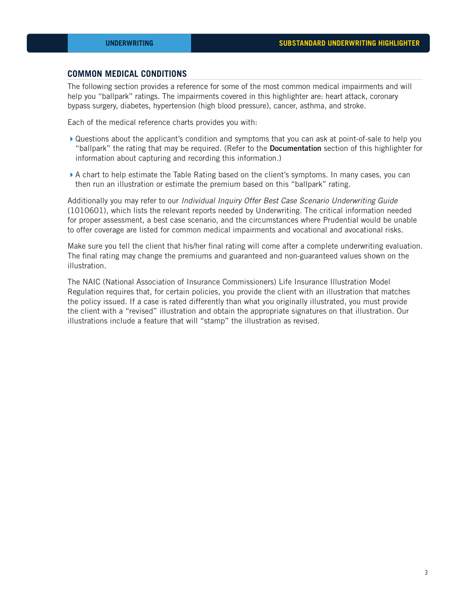# **COMMON MEDICAL CONDITIONS**

The following section provides a reference for some of the most common medical impairments and will help you "ballpark" ratings. The impairments covered in this highlighter are: heart attack, coronary bypass surgery, diabetes, hypertension (high blood pressure), cancer, asthma, and stroke.

Each of the medical reference charts provides you with:

- Questions about the applicant's condition and symptoms that you can ask at point-of-sale to help you "ballpark" the rating that may be required. (Refer to the **Documentation** section of this highlighter for information about capturing and recording this information.)
- A chart to help estimate the Table Rating based on the client's symptoms. In many cases, you can then run an illustration or estimate the premium based on this "ballpark" rating.

Additionally you may refer to our *Individual Inquiry Offer Best Case Scenario Underwriting Guide* (1010601), which lists the relevant reports needed by Underwriting. The critical information needed for proper assessment, a best case scenario, and the circumstances where Prudential would be unable to offer coverage are listed for common medical impairments and vocational and avocational risks.

Make sure you tell the client that his/her final rating will come after a complete underwriting evaluation. The final rating may change the premiums and guaranteed and non-guaranteed values shown on the illustration.

The NAIC (National Association of Insurance Commissioners) Life Insurance Illustration Model Regulation requires that, for certain policies, you provide the client with an illustration that matches the policy issued. If a case is rated differently than what you originally illustrated, you must provide the client with a "revised" illustration and obtain the appropriate signatures on that illustration. Our illustrations include a feature that will "stamp" the illustration as revised.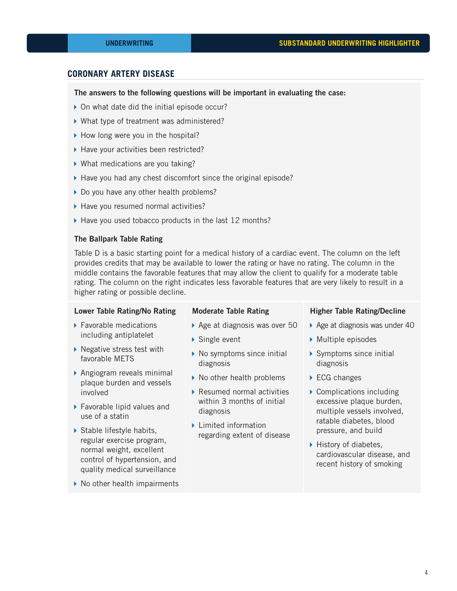# **CORONARY ARTERY DISEASE**

#### The answers to the following questions will be important in evaluating the case:

- ▶ On what date did the initial episode occur?
- What type of treatment was administered?
- How long were you in the hospital?
- ▶ Have your activities been restricted?
- ▶ What medications are you taking?
- $\blacktriangleright$  Have you had any chest discomfort since the original episode?
- Do you have any other health problems?
- $\blacktriangleright$  Have you resumed normal activities?
- $\blacktriangleright$  Have you used tobacco products in the last 12 months?

#### The Ballpark Table Rating

Table D is a basic starting point for a medical history of a cardiac event. The column on the left provides credits that may be available to lower the rating or have no rating. The column in the middle contains the favorable features that may allow the client to qualify for a moderate table rating. The column on the right indicates less favorable features that are very likely to result in a higher rating or possible decline.

#### Lower Table Rating/No Rating

- ▶ Favorable medications including antiplatelet
- $\blacktriangleright$  Negative stress test with favorable METS
- Angiogram reveals minimal plaque burden and vessels involved
- ▶ Favorable lipid values and use of a statin
- ▶ Stable lifestyle habits, regular exercise program, normal weight, excellent control of hypertension, and quality medical surveillance
- ▶ No other health impairments

#### Moderate Table Rating

- Age at diagnosis was over 50
- ▶ Single event
- $\triangleright$  No symptoms since initial diagnosis
- ▶ No other health problems
- Resumed normal activities within 3 months of initial diagnosis
- **Limited information** regarding extent of disease

#### Higher Table Rating/Decline

- $\triangleright$  Age at diagnosis was under 40
- $\triangleright$  Multiple episodes
- ▶ Symptoms since initial diagnosis
- ▶ ECG changes
- $\triangleright$  Complications including excessive plaque burden, multiple vessels involved, ratable diabetes, blood pressure, and build
- $\blacktriangleright$  History of diabetes, cardiovascular disease, and recent history of smoking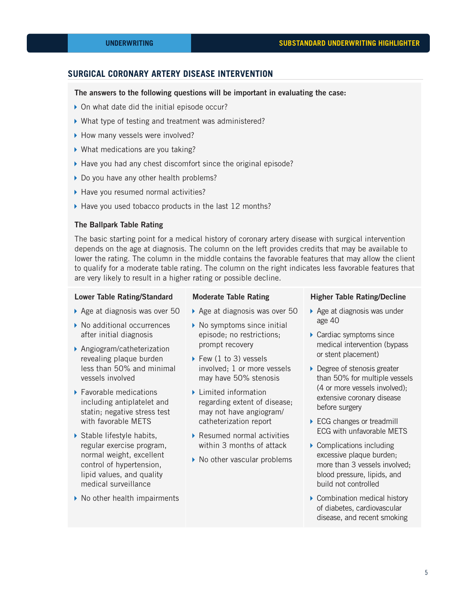# **SURGICAL CORONARY ARTERY DISEASE INTERVENTION**

#### The answers to the following questions will be important in evaluating the case:

- ▶ On what date did the initial episode occur?
- What type of testing and treatment was administered?
- ▶ How many vessels were involved?
- ▶ What medications are you taking?
- $\blacktriangleright$  Have you had any chest discomfort since the original episode?
- Do you have any other health problems?
- $\blacktriangleright$  Have you resumed normal activities?
- ▶ Have you used tobacco products in the last 12 months?

#### The Ballpark Table Rating

The basic starting point for a medical history of coronary artery disease with surgical intervention depends on the age at diagnosis. The column on the left provides credits that may be available to lower the rating. The column in the middle contains the favorable features that may allow the client to qualify for a moderate table rating. The column on the right indicates less favorable features that are very likely to result in a higher rating or possible decline.

#### Lower Table Rating/Standard

- ▶ Age at diagnosis was over 50
- ▶ No additional occurrences after initial diagnosis
- ▶ Angiogram/catheterization revealing plaque burden less than 50% and minimal vessels involved
- ▶ Favorable medications including antiplatelet and statin; negative stress test with favorable METS
- Stable lifestyle habits, regular exercise program, normal weight, excellent control of hypertension, lipid values, and quality medical surveillance
- $\triangleright$  No other health impairments

#### Moderate Table Rating

- ▶ Age at diagnosis was over 50
- $\triangleright$  No symptoms since initial episode; no restrictions; prompt recovery
- $\blacktriangleright$  Few (1 to 3) vessels involved; 1 or more vessels may have 50% stenosis
- $\blacktriangleright$  Limited information regarding extent of disease; may not have angiogram/ catheterization report
- ▶ Resumed normal activities within 3 months of attack
- ▶ No other vascular problems

#### Higher Table Rating/Decline

- ▶ Age at diagnosis was under age 40
- ▶ Cardiac symptoms since medical intervention (bypass or stent placement)
- ▶ Degree of stenosis greater than 50% for multiple vessels (4 or more vessels involved); extensive coronary disease before surgery
- ▶ ECG changes or treadmill ECG with unfavorable METS
- ▶ Complications including excessive plaque burden; more than 3 vessels involved; blood pressure, lipids, and build not controlled
- ▶ Combination medical history of diabetes, cardiovascular disease, and recent smoking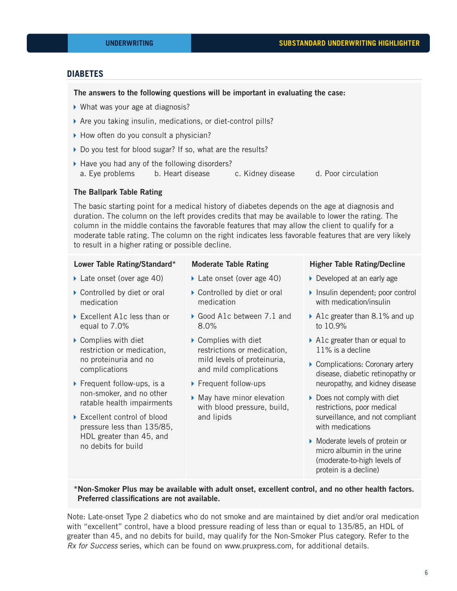# **DIABETES**

#### The answers to the following questions will be important in evaluating the case:

- ▶ What was your age at diagnosis?
- Are you taking insulin, medications, or diet-control pills?
- ▶ How often do you consult a physician?
- Do you test for blood sugar? If so, what are the results?
- ▶ Have you had any of the following disorders? a. Eye problems b. Heart disease c. Kidney disease d. Poor circulation

#### The Ballpark Table Rating

The basic starting point for a medical history of diabetes depends on the age at diagnosis and duration. The column on the left provides credits that may be available to lower the rating. The column in the middle contains the favorable features that may allow the client to qualify for a moderate table rating. The column on the right indicates less favorable features that are very likely to result in a higher rating or possible decline.

# Lower Table Rating/Standard\*

### Moderate Table Rating

- ▶ Late onset (over age 40)
- ▶ Late onset (over age 40)
- ▶ Controlled by diet or oral medication
- ▶ Excellent A1c less than or equal to 7.0%
- ▶ Complies with diet restriction or medication, no proteinuria and no complications
- $\triangleright$  Frequent follow-ups, is a non-smoker, and no other ratable health impairments
- ▶ Excellent control of blood pressure less than 135/85, HDL greater than 45, and no debits for build
- ▶ Controlled by diet or oral medication
- Good A1c between 7.1 and 8.0%
- ▶ Complies with diet restrictions or medication, mild levels of proteinuria, and mild complications
- ▶ Frequent follow-ups
- $\blacktriangleright$  May have minor elevation with blood pressure, build, and lipids

#### Higher Table Rating/Decline

- Developed at an early age
- Insulin dependent; poor control with medication/insulin
- A1c greater than 8.1% and up to 10.9%
- ▶ A1c greater than or equal to 11% is a decline
- ▶ Complications: Coronary artery disease, diabetic retinopathy or neuropathy, and kidney disease
- ▶ Does not comply with diet restrictions, poor medical surveillance, and not compliant with medications
- Moderate levels of protein or micro albumin in the urine (moderate-to-high levels of protein is a decline)

# \*Non-Smoker Plus may be available with adult onset, excellent control, and no other health factors. Preferred classifications are not available.

Note: Late-onset Type 2 diabetics who do not smoke and are maintained by diet and/or oral medication with "excellent" control, have a blood pressure reading of less than or equal to 135/85, an HDL of greater than 45, and no debits for build, may qualify for the Non-Smoker Plus category. Refer to the *Rx for Success* series, which can be found on www.pruxpress.com, for additional details.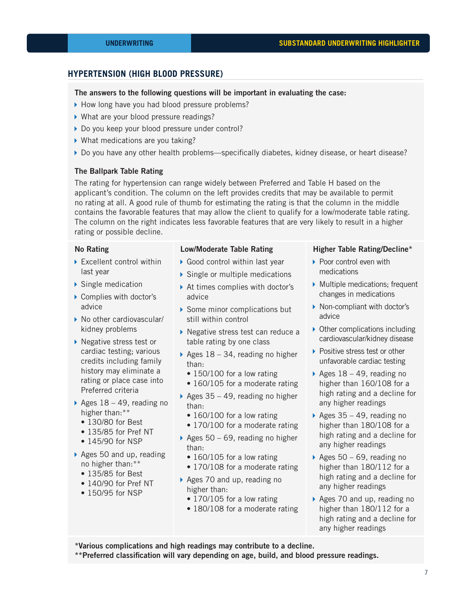# **HYPERTENSION (HIGH BLOOD PRESSURE)**

#### The answers to the following questions will be important in evaluating the case:

- How long have you had blood pressure problems?
- ▶ What are your blood pressure readings?
- Do you keep your blood pressure under control?
- ▶ What medications are you taking?
- ▶ Do you have any other health problems—specifically diabetes, kidney disease, or heart disease?

#### The Ballpark Table Rating

The rating for hypertension can range widely between Preferred and Table H based on the applicant's condition. The column on the left provides credits that may be available to permit no rating at all. A good rule of thumb for estimating the rating is that the column in the middle contains the favorable features that may allow the client to qualify for a low/moderate table rating. The column on the right indicates less favorable features that are very likely to result in a higher rating or possible decline.

#### No Rating

- ▶ Excellent control within last year
- $\triangleright$  Single medication
- ▶ Complies with doctor's advice
- ▶ No other cardiovascular/ kidney problems
- ▶ Negative stress test or cardiac testing; various credits including family history may eliminate a rating or place case into Preferred criteria
- Ages  $18 49$ , reading no higher than:\*\*
	- 130/80 for Best
	- 135/85 for Pref NT
	- 145/90 for NSP
- Ages 50 and up, reading no higher than:\*\*
	- 135/85 for Best
	- 140/90 for Pref NT
	- 150/95 for NSP

### Low/Moderate Table Rating

- Good control within last year
- Single or multiple medications
- ▶ At times complies with doctor's advice
- Some minor complications but still within control
- ▶ Negative stress test can reduce a table rating by one class
- Ages  $18 34$ , reading no higher than:
	- 150/100 for a low rating
	- 160/105 for a moderate rating
- Ages  $35 49$ , reading no higher than:
	- 160/100 for a low rating
	- 170/100 for a moderate rating
- Ages  $50 69$ , reading no higher than:
	- 160/105 for a low rating
	- 170/108 for a moderate rating
- Ages 70 and up, reading no higher than:
	- 170/105 for a low rating
	- 180/108 for a moderate rating

#### Higher Table Rating/Decline\*

- ▶ Poor control even with medications
- Multiple medications; frequent changes in medications
- $\triangleright$  Non-compliant with doctor's advice
- $\triangleright$  Other complications including cardiovascular/kidney disease
- ▶ Positive stress test or other unfavorable cardiac testing
- Ages  $18 49$ , reading no higher than 160/108 for a high rating and a decline for any higher readings
- $\triangleright$  Ages 35 49, reading no higher than 180/108 for a high rating and a decline for any higher readings
- Ages  $50 69$ , reading no higher than 180/112 for a high rating and a decline for any higher readings
- Ages 70 and up, reading no higher than 180/112 for a high rating and a decline for any higher readings

\*Various complications and high readings may contribute to a decline.

\*\*Preferred classification will vary depending on age, build, and blood pressure readings.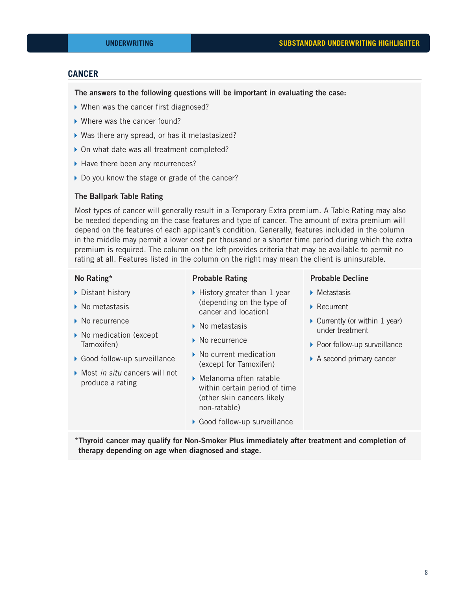# **CANCER**

#### The answers to the following questions will be important in evaluating the case:

- ▶ When was the cancer first diagnosed?
- ▶ Where was the cancer found?
- Was there any spread, or has it metastasized?
- ▶ On what date was all treatment completed?
- Have there been any recurrences?
- Do you know the stage or grade of the cancer?

# The Ballpark Table Rating

Most types of cancer will generally result in a Temporary Extra premium. A Table Rating may also be needed depending on the case features and type of cancer. The amount of extra premium will depend on the features of each applicant's condition. Generally, features included in the column in the middle may permit a lower cost per thousand or a shorter time period during which the extra premium is required. The column on the left provides criteria that may be available to permit no rating at all. Features listed in the column on the right may mean the client is uninsurable.

#### No Rating\*

#### Probable Rating

- ▶ Distant history
- ▶ No metastasis
- ▶ No recurrence
- ▶ No medication (except Tamoxifen)
- ▶ Good follow-up surveillance
- Most *in situ* cancers will not produce a rating
- ▶ History greater than 1 year (depending on the type of cancer and location)
- ▶ No metastasis
- ▶ No recurrence
- ▶ No current medication (except for Tamoxifen)
- Melanoma often ratable within certain period of time (other skin cancers likely non-ratable)
- ▶ Good follow-up surveillance

#### Probable Decline

- **Metastasis**
- ▶ Recurrent
- $\triangleright$  Currently (or within 1 year) under treatment
- ▶ Poor follow-up surveillance
- ▶ A second primary cancer

\*Thyroid cancer may qualify for Non-Smoker Plus immediately after treatment and completion of therapy depending on age when diagnosed and stage.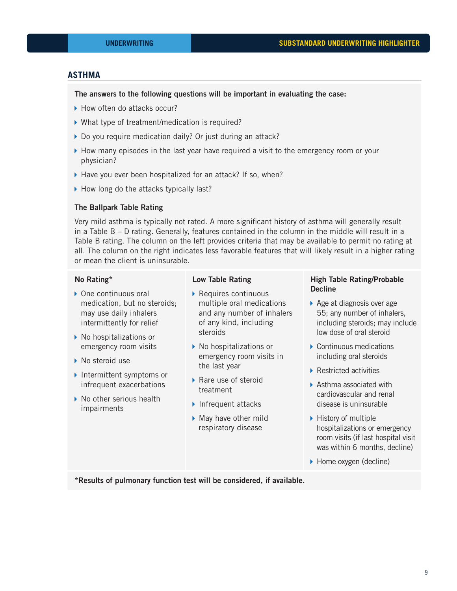# **ASTHMA**

# The answers to the following questions will be important in evaluating the case:

- ▶ How often do attacks occur?
- What type of treatment/medication is required?
- ▶ Do you require medication daily? Or just during an attack?
- $\blacktriangleright$  How many episodes in the last year have required a visit to the emergency room or your physician?
- ▶ Have you ever been hospitalized for an attack? If so, when?
- How long do the attacks typically last?

#### The Ballpark Table Rating

Very mild asthma is typically not rated. A more significant history of asthma will generally result in a Table B – D rating. Generally, features contained in the column in the middle will result in a Table B rating. The column on the left provides criteria that may be available to permit no rating at all. The column on the right indicates less favorable features that will likely result in a higher rating or mean the client is uninsurable.

# No Rating\*

- ▶ One continuous oral medication, but no steroids; may use daily inhalers intermittently for relief
- ▶ No hospitalizations or emergency room visits
- ▶ No steroid use
- Intermittent symptoms or infrequent exacerbations
- $\triangleright$  No other serious health impairments

#### Low Table Rating

- ▶ Requires continuous multiple oral medications and any number of inhalers of any kind, including steroids
- ▶ No hospitalizations or emergency room visits in the last year
- ▶ Rare use of steroid treatment
- Infrequent attacks
- May have other mild respiratory disease

# High Table Rating/Probable **Decline**

- ▶ Age at diagnosis over age 55; any number of inhalers, including steroids; may include low dose of oral steroid
- ▶ Continuous medications including oral steroids
- ▶ Restricted activities
- ▶ Asthma associated with cardiovascular and renal disease is uninsurable
- $\blacktriangleright$  History of multiple hospitalizations or emergency room visits (if last hospital visit was within 6 months, decline)
- ▶ Home oxygen (decline)

\*Results of pulmonary function test will be considered, if available.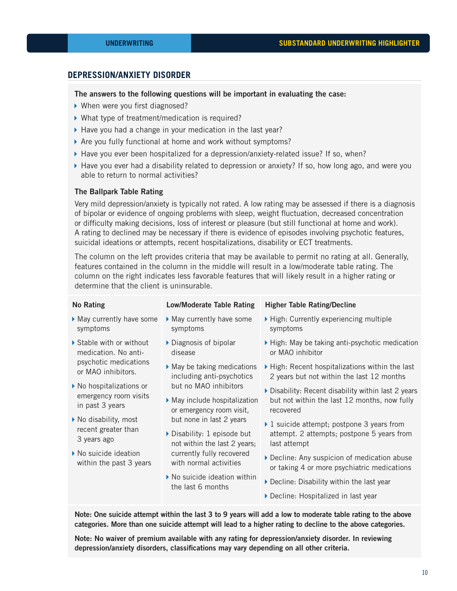# **DEPRESSION/ANXIETY DISORDER**

# The answers to the following questions will be important in evaluating the case:

- ▶ When were you first diagnosed?
- ▶ What type of treatment/medication is required?
- $\blacktriangleright$  Have you had a change in your medication in the last year?
- Are you fully functional at home and work without symptoms?
- $\blacktriangleright$  Have you ever been hospitalized for a depression/anxiety-related issue? If so, when?
- $\blacktriangleright$  Have you ever had a disability related to depression or anxiety? If so, how long ago, and were you able to return to normal activities?

#### The Ballpark Table Rating

Very mild depression/anxiety is typically not rated. A low rating may be assessed if there is a diagnosis of bipolar or evidence of ongoing problems with sleep, weight fluctuation, decreased concentration or difficulty making decisions, loss of interest or pleasure (but still functional at home and work). A rating to declined may be necessary if there is evidence of episodes involving psychotic features, suicidal ideations or attempts, recent hospitalizations, disability or ECT treatments.

The column on the left provides criteria that may be available to permit no rating at all. Generally, features contained in the column in the middle will result in a low/moderate table rating. The column on the right indicates less favorable features that will likely result in a higher rating or determine that the client is uninsurable.

| <b>No Rating</b>                                                                                                                                                                                                                                                                                                       | <b>Low/Moderate Table Rating</b>                                                                       | <b>Higher Table Rating/Decline</b>                                                                                                                                                                                                                                                                                                                                                                                                                                                                        |  |  |  |
|------------------------------------------------------------------------------------------------------------------------------------------------------------------------------------------------------------------------------------------------------------------------------------------------------------------------|--------------------------------------------------------------------------------------------------------|-----------------------------------------------------------------------------------------------------------------------------------------------------------------------------------------------------------------------------------------------------------------------------------------------------------------------------------------------------------------------------------------------------------------------------------------------------------------------------------------------------------|--|--|--|
| May currently have some<br>symptoms                                                                                                                                                                                                                                                                                    | May currently have some<br>symptoms                                                                    | ▶ High: Currently experiencing multiple<br>symptoms                                                                                                                                                                                                                                                                                                                                                                                                                                                       |  |  |  |
| Stable with or without<br>medication. No anti-<br>psychotic medications<br>or MAO inhibitors.<br>$\triangleright$ No hospitalizations or<br>emergency room visits<br>in past 3 years<br>▶ No disability, most<br>recent greater than<br>3 years ago<br>$\triangleright$ No suicide ideation<br>within the past 3 years | Diagnosis of bipolar<br>disease                                                                        | High: May be taking anti-psychotic medication<br>or MAO inhibitor                                                                                                                                                                                                                                                                                                                                                                                                                                         |  |  |  |
|                                                                                                                                                                                                                                                                                                                        | $\blacktriangleright$ May be taking medications<br>including anti-psychotics                           | ▶ High: Recent hospitalizations within the last<br>2 years but not within the last 12 months<br>Disability: Recent disability within last 2 years<br>but not within the last 12 months, now fully<br>recovered<br>▶ 1 suicide attempt; postpone 3 years from<br>attempt. 2 attempts; postpone 5 years from<br>last attempt<br>Decline: Any suspicion of medication abuse<br>or taking 4 or more psychiatric medications<br>Decline: Disability within the last year<br>Decline: Hospitalized in last year |  |  |  |
|                                                                                                                                                                                                                                                                                                                        | but no MAO inhibitors<br>May include hospitalization<br>or emergency room visit,                       |                                                                                                                                                                                                                                                                                                                                                                                                                                                                                                           |  |  |  |
|                                                                                                                                                                                                                                                                                                                        | but none in last 2 years<br>$\triangleright$ Disability: 1 episode but<br>not within the last 2 years; |                                                                                                                                                                                                                                                                                                                                                                                                                                                                                                           |  |  |  |
|                                                                                                                                                                                                                                                                                                                        | currently fully recovered<br>with normal activities                                                    |                                                                                                                                                                                                                                                                                                                                                                                                                                                                                                           |  |  |  |
|                                                                                                                                                                                                                                                                                                                        | $\blacktriangleright$ No suicide ideation within<br>the last 6 months                                  |                                                                                                                                                                                                                                                                                                                                                                                                                                                                                                           |  |  |  |
|                                                                                                                                                                                                                                                                                                                        |                                                                                                        |                                                                                                                                                                                                                                                                                                                                                                                                                                                                                                           |  |  |  |

Note: One suicide attempt within the last 3 to 9 years will add a low to moderate table rating to the above categories. More than one suicide attempt will lead to a higher rating to decline to the above categories.

Note: No waiver of premium available with any rating for depression/anxiety disorder. In reviewing depression/anxiety disorders, classifications may vary depending on all other criteria.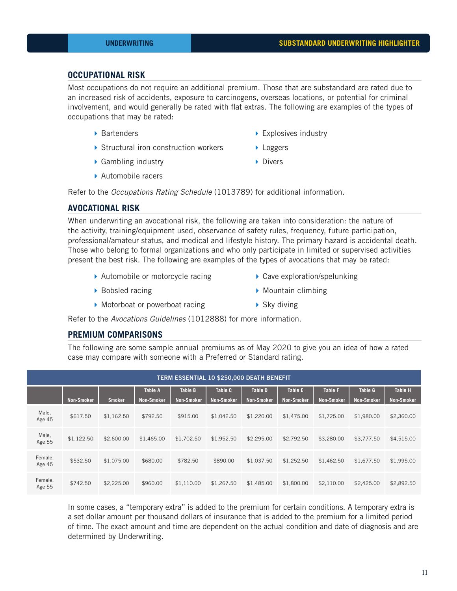# **OCCUPATIONAL RISK**

Most occupations do not require an additional premium. Those that are substandard are rated due to an increased risk of accidents, exposure to carcinogens, overseas locations, or potential for criminal involvement, and would generally be rated with flat extras. The following are examples of the types of occupations that may be rated:

- ▶ Bartenders
- Structural iron construction workers
- ▶ Explosives industry
- ▶ Loggers

▶ Gambling industry

Divers

▶ Automobile racers

Refer to the *Occupations Rating Schedule* (1013789) for additional information.

# **AVOCATIONAL RISK**

When underwriting an avocational risk, the following are taken into consideration: the nature of the activity, training/equipment used, observance of safety rules, frequency, future participation, professional/amateur status, and medical and lifestyle history. The primary hazard is accidental death. Those who belong to formal organizations and who only participate in limited or supervised activities present the best risk. The following are examples of the types of avocations that may be rated:

- ▶ Automobile or motorcycle racing
- ▶ Cave exploration/spelunking

▶ Bobsled racing

- $\triangleright$  Mountain climbing
- Motorboat or powerboat racing
- ▶ Sky diving

Refer to the *Avocations Guidelines* (1012888) for more information.

# **PREMIUM COMPARISONS**

The following are some sample annual premiums as of May 2020 to give you an idea of how a rated case may compare with someone with a Preferred or Standard rating.

| <b>TERM ESSENTIAL 10 \$250,000 DEATH BENEFIT</b> |                   |               |                   |                   |                   |                   |                   |                   |                   |                   |  |
|--------------------------------------------------|-------------------|---------------|-------------------|-------------------|-------------------|-------------------|-------------------|-------------------|-------------------|-------------------|--|
|                                                  |                   |               | <b>Table A</b>    | <b>Table B</b>    | Table C           | <b>Table D</b>    | <b>Table E</b>    | <b>Table F</b>    | <b>Table G</b>    | <b>Table H</b>    |  |
|                                                  | <b>Non-Smoker</b> | <b>Smoker</b> | <b>Non-Smoker</b> | <b>Non-Smoker</b> | <b>Non-Smoker</b> | <b>Non-Smoker</b> | <b>Non-Smoker</b> | <b>Non-Smoker</b> | <b>Non-Smoker</b> | <b>Non-Smoker</b> |  |
| Male,<br>Age 45                                  | \$617.50          | \$1,162.50    | \$792.50          | \$915.00          | \$1,042.50        | \$1,220.00        | \$1,475.00        | \$1,725.00        | \$1,980.00        | \$2,360.00        |  |
| Male,                                            | \$1,122.50        | \$2,600.00    | \$1,465.00        | \$1,702.50        | \$1,952.50        | \$2,295.00        | \$2,792.50        | \$3,280,00        | \$3,777.50        | \$4,515.00        |  |
| Age 55                                           |                   |               |                   |                   |                   |                   |                   |                   |                   |                   |  |
| Female,<br>Age 45                                | \$532.50          | \$1,075.00    | \$680.00          | \$782.50          | \$890.00          | \$1,037.50        | \$1,252.50        | \$1,462.50        | \$1,677.50        | \$1,995.00        |  |
| Female,<br>Age 55                                | \$742.50          | \$2,225.00    | \$960.00          | \$1,110.00        | \$1,267.50        | \$1,485.00        | \$1,800.00        | \$2,110.00        | \$2,425.00        | \$2,892.50        |  |

In some cases, a "temporary extra" is added to the premium for certain conditions. A temporary extra is a set dollar amount per thousand dollars of insurance that is added to the premium for a limited period of time. The exact amount and time are dependent on the actual condition and date of diagnosis and are determined by Underwriting.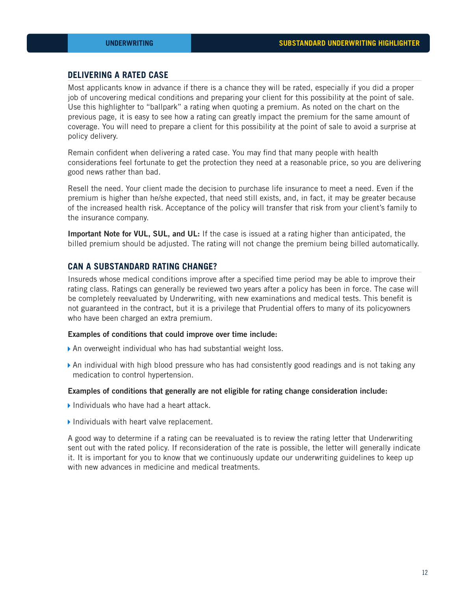# **DELIVERING A RATED CASE**

Most applicants know in advance if there is a chance they will be rated, especially if you did a proper job of uncovering medical conditions and preparing your client for this possibility at the point of sale. Use this highlighter to "ballpark" a rating when quoting a premium. As noted on the chart on the previous page, it is easy to see how a rating can greatly impact the premium for the same amount of coverage. You will need to prepare a client for this possibility at the point of sale to avoid a surprise at policy delivery.

Remain confident when delivering a rated case. You may find that many people with health considerations feel fortunate to get the protection they need at a reasonable price, so you are delivering good news rather than bad.

Resell the need. Your client made the decision to purchase life insurance to meet a need. Even if the premium is higher than he/she expected, that need still exists, and, in fact, it may be greater because of the increased health risk. Acceptance of the policy will transfer that risk from your client's family to the insurance company.

Important Note for VUL, SUL, and UL: If the case is issued at a rating higher than anticipated, the billed premium should be adjusted. The rating will not change the premium being billed automatically.

# **CAN A SUBSTANDARD RATING CHANGE?**

Insureds whose medical conditions improve after a specified time period may be able to improve their rating class. Ratings can generally be reviewed two years after a policy has been in force. The case will be completely reevaluated by Underwriting, with new examinations and medical tests. This benefit is not guaranteed in the contract, but it is a privilege that Prudential offers to many of its policyowners who have been charged an extra premium.

#### Examples of conditions that could improve over time include:

- •An overweight individual who has had substantial weight loss.
- •An individual with high blood pressure who has had consistently good readings and is not taking any medication to control hypertension.

#### Examples of conditions that generally are not eligible for rating change consideration include:

- •Individuals who have had a heart attack.
- •Individuals with heart valve replacement.

A good way to determine if a rating can be reevaluated is to review the rating letter that Underwriting sent out with the rated policy. If reconsideration of the rate is possible, the letter will generally indicate it. It is important for you to know that we continuously update our underwriting guidelines to keep up with new advances in medicine and medical treatments.